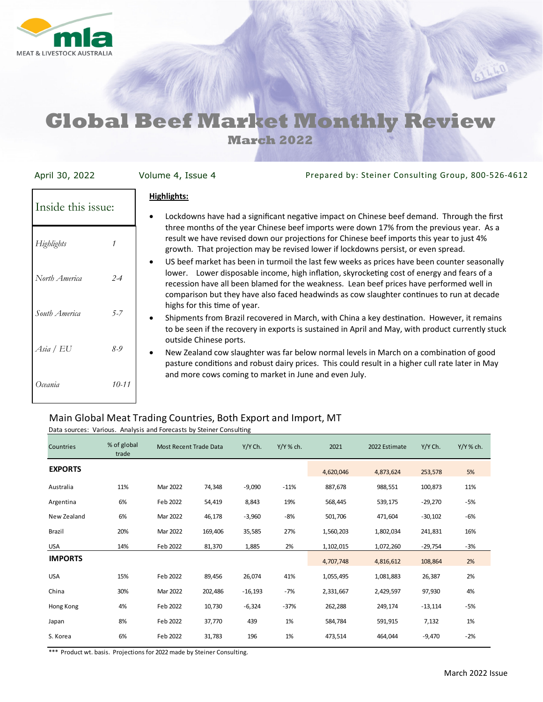

# **Global Beef Market Monthly Review**

**March 2022** 

| April 30, 2022           | Prepared by: Steiner Consulting Group, 800-526-4612<br>Volume 4, Issue 4                                                                                                                                                                                                                                                                                                                                            |
|--------------------------|---------------------------------------------------------------------------------------------------------------------------------------------------------------------------------------------------------------------------------------------------------------------------------------------------------------------------------------------------------------------------------------------------------------------|
| Inside this issue:       | <b>Highlights:</b><br>Lockdowns have had a significant negative impact on Chinese beef demand. Through the first                                                                                                                                                                                                                                                                                                    |
| Highlights               | three months of the year Chinese beef imports were down 17% from the previous year. As a<br>result we have revised down our projections for Chinese beef imports this year to just 4%<br>growth. That projection may be revised lower if lockdowns persist, or even spread.                                                                                                                                         |
| North America<br>$2 - 4$ | US beef market has been in turmoil the last few weeks as prices have been counter seasonally<br>lower. Lower disposable income, high inflation, skyrocketing cost of energy and fears of a<br>recession have all been blamed for the weakness. Lean beef prices have performed well in<br>comparison but they have also faced headwinds as cow slaughter continues to run at decade<br>highs for this time of year. |
| South America<br>$5 - 7$ | Shipments from Brazil recovered in March, with China a key destination. However, it remains<br>to be seen if the recovery in exports is sustained in April and May, with product currently stuck<br>outside Chinese ports.                                                                                                                                                                                          |
| Asia / EU<br>$8 - 9$     | New Zealand cow slaughter was far below normal levels in March on a combination of good<br>pasture conditions and robust dairy prices. This could result in a higher cull rate later in May<br>and more cows coming to market in June and even July.                                                                                                                                                                |
| Oceania<br>$10 - 11$     |                                                                                                                                                                                                                                                                                                                                                                                                                     |

### Main Global Meat Trading Countries, Both Export and Import, MT

| Countries      | % of global<br>trade | Most Recent Trade Data |         | Y/Y Ch.   | Y/Y % ch. | 2021      | 2022 Estimate | Y/Y Ch.   | $Y/Y$ % ch. |
|----------------|----------------------|------------------------|---------|-----------|-----------|-----------|---------------|-----------|-------------|
| <b>EXPORTS</b> |                      |                        |         |           |           | 4,620,046 | 4,873,624     | 253,578   | 5%          |
| Australia      | 11%                  | Mar 2022               | 74,348  | $-9,090$  | $-11%$    | 887,678   | 988,551       | 100,873   | 11%         |
| Argentina      | 6%                   | Feb 2022               | 54,419  | 8,843     | 19%       | 568,445   | 539,175       | $-29,270$ | $-5%$       |
| New Zealand    | 6%                   | Mar 2022               | 46,178  | $-3,960$  | -8%       | 501,706   | 471,604       | $-30,102$ | -6%         |
| <b>Brazil</b>  | 20%                  | Mar 2022               | 169,406 | 35,585    | 27%       | 1,560,203 | 1,802,034     | 241,831   | 16%         |
| <b>USA</b>     | 14%                  | Feb 2022               | 81,370  | 1,885     | 2%        | 1,102,015 | 1,072,260     | -29,754   | $-3%$       |
| <b>IMPORTS</b> |                      |                        |         |           |           | 4,707,748 | 4,816,612     | 108,864   | 2%          |
| <b>USA</b>     | 15%                  | Feb 2022               | 89,456  | 26,074    | 41%       | 1,055,495 | 1,081,883     | 26,387    | 2%          |
| China          | 30%                  | Mar 2022               | 202,486 | $-16,193$ | $-7%$     | 2,331,667 | 2,429,597     | 97,930    | 4%          |
| Hong Kong      | 4%                   | Feb 2022               | 10,730  | $-6,324$  | $-37%$    | 262,288   | 249,174       | $-13,114$ | $-5%$       |
| Japan          | 8%                   | Feb 2022               | 37,770  | 439       | 1%        | 584,784   | 591,915       | 7,132     | 1%          |
| S. Korea       | 6%                   | Feb 2022               | 31,783  | 196       | 1%        | 473,514   | 464,044       | $-9,470$  | $-2%$       |

Data sources: Various. Analysis and Forecasts by Steiner Consulting

\*\*\* Product wt. basis. Projections for 2022 made by Steiner Consulting.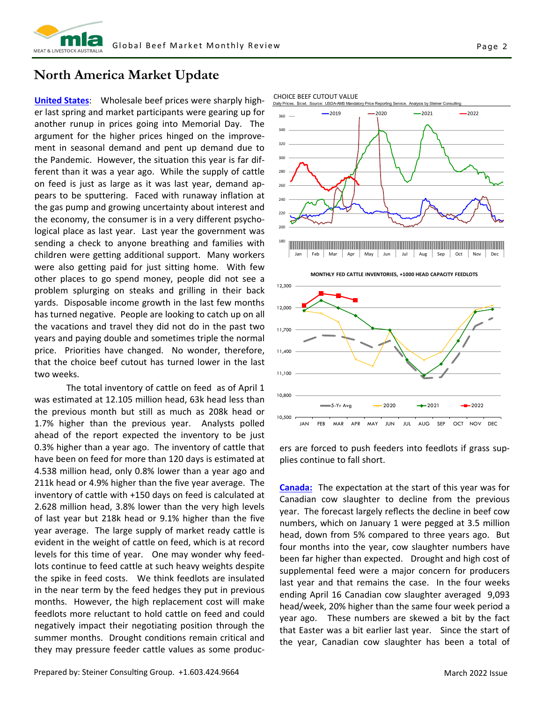

### **North America Market Update**

**United States**: Wholesale beef prices were sharply high‐ er last spring and market participants were gearing up for another runup in prices going into Memorial Day. The argument for the higher prices hinged on the improve‐ ment in seasonal demand and pent up demand due to the Pandemic. However, the situation this year is far dif‐ ferent than it was a year ago. While the supply of cattle on feed is just as large as it was last year, demand ap‐ pears to be sputtering. Faced with runaway inflation at the gas pump and growing uncertainty about interest and the economy, the consumer is in a very different psycho‐ logical place as last year. Last year the government was sending a check to anyone breathing and families with children were getting additional support. Many workers were also getting paid for just sitting home. With few other places to go spend money, people did not see a problem splurging on steaks and grilling in their back yards. Disposable income growth in the last few months has turned negative. People are looking to catch up on all the vacations and travel they did not do in the past two years and paying double and sometimes triple the normal price. Priorities have changed. No wonder, therefore, that the choice beef cutout has turned lower in the last two weeks.

 The total inventory of cattle on feed as of April 1 was estimated at 12.105 million head, 63k head less than the previous month but still as much as 208k head or 1.7% higher than the previous year. Analysts polled ahead of the report expected the inventory to be just 0.3% higher than a year ago. The inventory of cattle that have been on feed for more than 120 days is estimated at 4.538 million head, only 0.8% lower than a year ago and 211k head or 4.9% higher than the five year average. The inventory of cattle with +150 days on feed is calculated at 2.628 million head, 3.8% lower than the very high levels of last year but 218k head or 9.1% higher than the five year average. The large supply of market ready cattle is evident in the weight of cattle on feed, which is at record levels for this time of year. One may wonder why feed‐ lots continue to feed cattle at such heavy weights despite the spike in feed costs. We think feedlots are insulated in the near term by the feed hedges they put in previous months. However, the high replacement cost will make feedlots more reluctant to hold cattle on feed and could negatively impact their negotiating position through the summer months. Drought conditions remain critical and they may pressure feeder cattle values as some produc‐



Daily Prices. \$/cwt. Source: USDA-AMS Mandatory Price Reporting Service. Analysis by Steiner Consulting

CHOICE BEEF CUTOUT VALUE

10,500

10,800

11,100

11,400

11,700

ers are forced to push feeders into feedlots if grass sup‐ plies continue to fall short.

JAN FEB MAR APR MAY JUN JUL AUG SEP OCT NOV DEC

5-Yr.Ava —  $\leftarrow$  2020 —  $\leftarrow$  2021 — ■ 2022

**Canada:** The expectation at the start of this year was for Canadian cow slaughter to decline from the previous year. The forecast largely reflects the decline in beef cow numbers, which on January 1 were pegged at 3.5 million head, down from 5% compared to three years ago. But four months into the year, cow slaughter numbers have been far higher than expected. Drought and high cost of supplemental feed were a major concern for producers last year and that remains the case. In the four weeks ending April 16 Canadian cow slaughter averaged 9,093 head/week, 20% higher than the same four week period a year ago. These numbers are skewed a bit by the fact that Easter was a bit earlier last year. Since the start of the year, Canadian cow slaughter has been a total of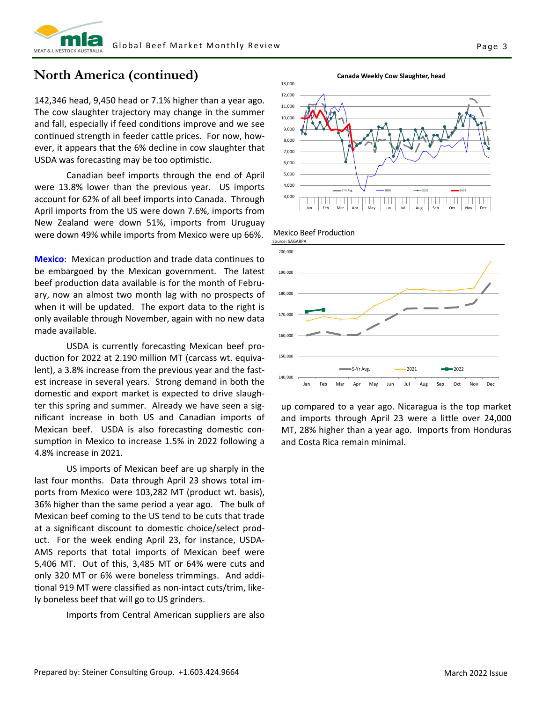

### **North America (continued)**

142,346 head, 9,450 head or 7.1% higher than a year ago. The cow slaughter trajectory may change in the summer and fall, especially if feed conditions improve and we see continued strength in feeder cattle prices. For now, however, it appears that the 6% decline in cow slaughter that USDA was forecasting may be too optimistic.

 Canadian beef imports through the end of April were 13.8% lower than the previous year. US imports account for 62% of all beef imports into Canada. Through April imports from the US were down 7.6%, imports from New Zealand were down 51%, imports from Uruguay were down 49% while imports from Mexico were up 66%.

**Mexico:** Mexican production and trade data continues to be embargoed by the Mexican government. The latest beef production data available is for the month of February, now an almost two month lag with no prospects of when it will be updated. The export data to the right is only available through November, again with no new data made available.

USDA is currently forecasting Mexican beef production for 2022 at 2.190 million MT (carcass wt. equivalent), a 3.8% increase from the previous year and the fast‐ est increase in several years. Strong demand in both the domestic and export market is expected to drive slaughter this spring and summer. Already we have seen a sig‐ nificant increase in both US and Canadian imports of Mexican beef. USDA is also forecasting domestic consumption in Mexico to increase 1.5% in 2022 following a 4.8% increase in 2021.

 US imports of Mexican beef are up sharply in the last four months. Data through April 23 shows total im‐ ports from Mexico were 103,282 MT (product wt. basis), 36% higher than the same period a year ago. The bulk of Mexican beef coming to the US tend to be cuts that trade at a significant discount to domestic choice/select product. For the week ending April 23, for instance, USDA‐ AMS reports that total imports of Mexican beef were 5,406 MT. Out of this, 3,485 MT or 64% were cuts and only 320 MT or 6% were boneless trimmings. And addi‐ Ɵonal 919 MT were classified as non‐intact cuts/trim, like‐ ly boneless beef that will go to US grinders.

Imports from Central American suppliers are also







up compared to a year ago. Nicaragua is the top market and imports through April 23 were a little over 24,000 MT, 28% higher than a year ago. Imports from Honduras and Costa Rica remain minimal.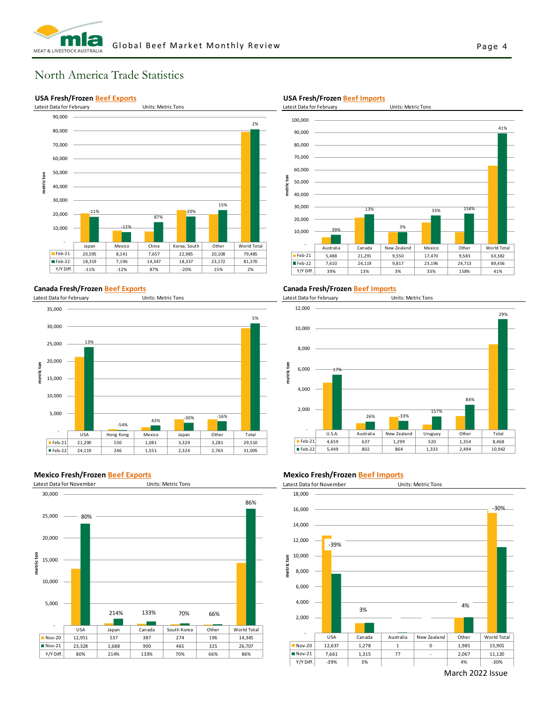

### North America Trade Statistics

#### **USA Fresh/Frozen Beef Exports**



#### **Canada Fresh/Frozen Beef Exports**

Latest Data for February Units: Metric Tons



#### **Mexico Fresh/Frozen Beef Exports**



#### **USA Fresh/Frozen Beef Imports**



#### **Canada Fresh/Frozen Beef Imports**

Latest Data for February Units: Metric Tons



#### **Mexico Fresh/Frozen Beef Imports**



March 2022 Issue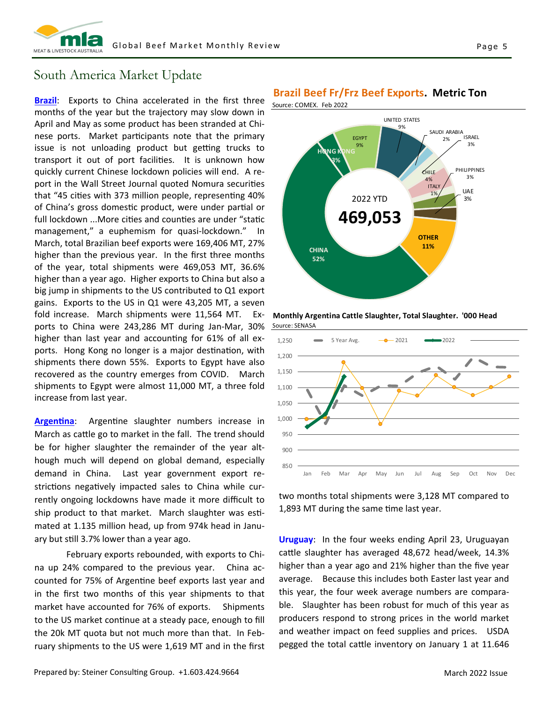

### South America Market Update

**Brazil**: Exports to China accelerated in the first three months of the year but the trajectory may slow down in April and May as some product has been stranded at Chi‐ nese ports. Market participants note that the primary issue is not unloading product but getting trucks to transport it out of port facilities. It is unknown how quickly current Chinese lockdown policies will end. A re‐ port in the Wall Street Journal quoted Nomura securities that "45 cities with 373 million people, representing 40% of China's gross domestic product, were under partial or full lockdown ...More cities and counties are under "static management," a euphemism for quasi‐lockdown." In March, total Brazilian beef exports were 169,406 MT, 27% higher than the previous year. In the first three months of the year, total shipments were 469,053 MT, 36.6% higher than a year ago. Higher exports to China but also a big jump in shipments to the US contributed to Q1 export gains. Exports to the US in Q1 were 43,205 MT, a seven fold increase. March shipments were 11,564 MT. Ex‐ ports to China were 243,286 MT during Jan‐Mar, 30% higher than last year and accounting for 61% of all exports. Hong Kong no longer is a major destination, with shipments there down 55%. Exports to Egypt have also recovered as the country emerges from COVID. March shipments to Egypt were almost 11,000 MT, a three fold increase from last year.

Argentina: Argentine slaughter numbers increase in March as cattle go to market in the fall. The trend should be for higher slaughter the remainder of the year alt‐ hough much will depend on global demand, especially demand in China. Last year government export re‐ strictions negatively impacted sales to China while currently ongoing lockdowns have made it more difficult to ship product to that market. March slaughter was estimated at 1.135 million head, up from 974k head in Janu‐ ary but still 3.7% lower than a year ago.

 February exports rebounded, with exports to Chi‐ na up 24% compared to the previous year. China ac‐ counted for 75% of Argentine beef exports last year and in the first two months of this year shipments to that market have accounted for 76% of exports. Shipments to the US market continue at a steady pace, enough to fill the 20k MT quota but not much more than that. In February shipments to the US were 1,619 MT and in the first

**Brazil Beef Fr/Frz Beef Exports. Metric Ton**



**Monthly Argentina Cattle Slaughter, Total Slaughter. '000 Head** Source: SENASA



two months total shipments were 3,128 MT compared to 1,893 MT during the same time last year.

**Uruguay**: In the four weeks ending April 23, Uruguayan cattle slaughter has averaged 48,672 head/week, 14.3% higher than a year ago and 21% higher than the five year average. Because this includes both Easter last year and this year, the four week average numbers are compara‐ ble. Slaughter has been robust for much of this year as producers respond to strong prices in the world market and weather impact on feed supplies and prices. USDA pegged the total cattle inventory on January 1 at 11.646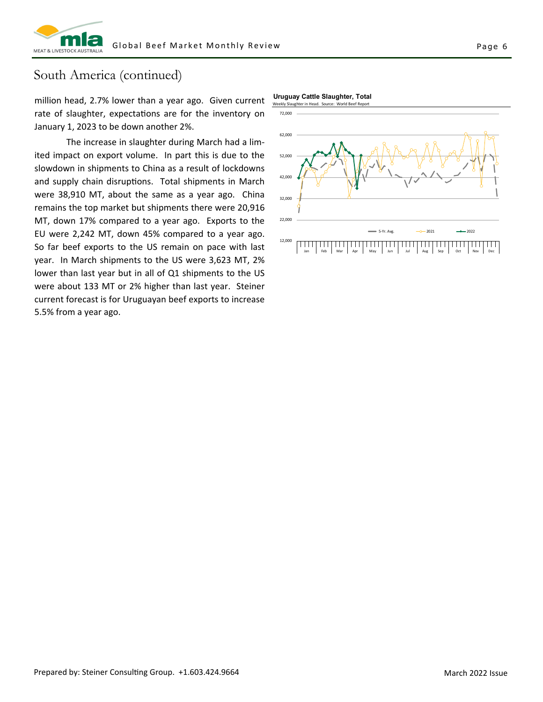

### South America (continued)

million head, 2.7% lower than a year ago. Given current rate of slaughter, expectations are for the inventory on January 1, 2023 to be down another 2%.

 The increase in slaughter during March had a lim‐ ited impact on export volume. In part this is due to the slowdown in shipments to China as a result of lockdowns and supply chain disruptions. Total shipments in March were 38,910 MT, about the same as a year ago. China remains the top market but shipments there were 20,916 MT, down 17% compared to a year ago. Exports to the EU were 2,242 MT, down 45% compared to a year ago. So far beef exports to the US remain on pace with last year. In March shipments to the US were 3,623 MT, 2% lower than last year but in all of Q1 shipments to the US were about 133 MT or 2% higher than last year. Steiner current forecast is for Uruguayan beef exports to increase 5.5% from a year ago.

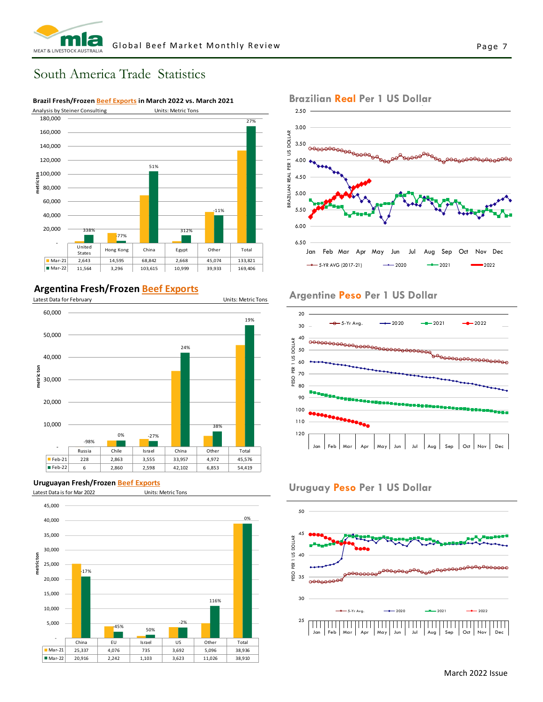#### Page 7

### South America Trade Statistics



### **Argentina Fresh/Frozen Beef Exports**



#### **Uruguayan Fresh/Frozen Beef Exports**





#### **Argentine Peso Per 1 US Dollar**



### **Uruguay Peso Per 1 US Dollar**



### Brazilian <mark>Real</mark> Per 1 US Dollar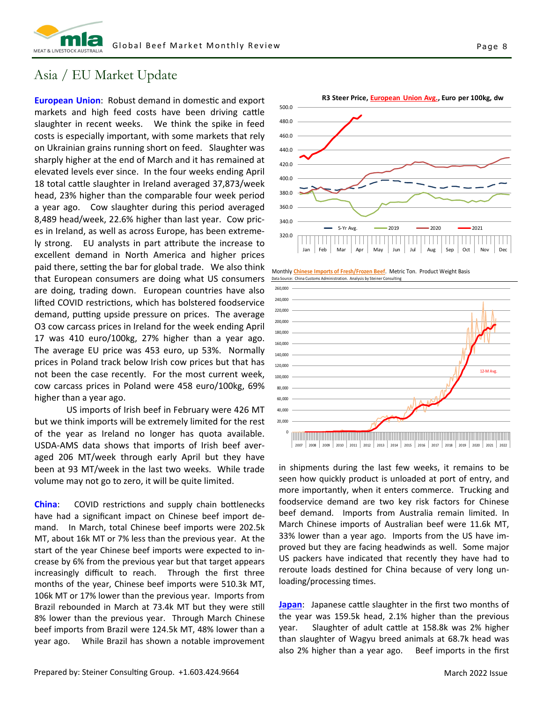

### Asia / EU Market Update

**European Union:** Robust demand in domestic and export markets and high feed costs have been driving cattle slaughter in recent weeks. We think the spike in feed costs is especially important, with some markets that rely on Ukrainian grains running short on feed. Slaughter was sharply higher at the end of March and it has remained at elevated levels ever since. In the four weeks ending April 18 total cattle slaughter in Ireland averaged 37,873/week head, 23% higher than the comparable four week period a year ago. Cow slaughter during this period averaged 8,489 head/week, 22.6% higher than last year. Cow pric‐ es in Ireland, as well as across Europe, has been extreme‐ ly strong. EU analysts in part attribute the increase to excellent demand in North America and higher prices paid there, setting the bar for global trade. We also think that European consumers are doing what US consumers are doing, trading down. European countries have also lifted COVID restrictions, which has bolstered foodservice demand, putting upside pressure on prices. The average O3 cow carcass prices in Ireland for the week ending April 17 was 410 euro/100kg, 27% higher than a year ago. The average EU price was 453 euro, up 53%. Normally prices in Poland track below Irish cow prices but that has not been the case recently. For the most current week, cow carcass prices in Poland were 458 euro/100kg, 69% higher than a year ago.

 US imports of Irish beef in February were 426 MT but we think imports will be extremely limited for the rest of the year as Ireland no longer has quota available. USDA‐AMS data shows that imports of Irish beef aver‐ aged 206 MT/week through early April but they have been at 93 MT/week in the last two weeks. While trade volume may not go to zero, it will be quite limited.

**China:** COVID restrictions and supply chain bottlenecks have had a significant impact on Chinese beef import de‐ mand. In March, total Chinese beef imports were 202.5k MT, about 16k MT or 7% less than the previous year. At the start of the year Chinese beef imports were expected to in‐ crease by 6% from the previous year but that target appears increasingly difficult to reach. Through the first three months of the year, Chinese beef imports were 510.3k MT, 106k MT or 17% lower than the previous year. Imports from Brazil rebounded in March at 73.4k MT but they were still 8% lower than the previous year. Through March Chinese beef imports from Brazil were 124.5k MT, 48% lower than a year ago. While Brazil has shown a notable improvement



Monthly **Chinese Imports of Fresh/Frozen Beef**. Metric Ton. Product Weight Basis : China Customs Administration. Analysis by Steiner Co



in shipments during the last few weeks, it remains to be seen how quickly product is unloaded at port of entry, and more importantly, when it enters commerce. Trucking and foodservice demand are two key risk factors for Chinese beef demand. Imports from Australia remain limited. In March Chinese imports of Australian beef were 11.6k MT, 33% lower than a year ago. Imports from the US have im‐ proved but they are facing headwinds as well. Some major US packers have indicated that recently they have had to reroute loads destined for China because of very long unloading/processing times.

**Japan**: Japanese cattle slaughter in the first two months of the year was 159.5k head, 2.1% higher than the previous year. Slaughter of adult cattle at 158.8k was 2% higher than slaughter of Wagyu breed animals at 68.7k head was also 2% higher than a year ago. Beef imports in the first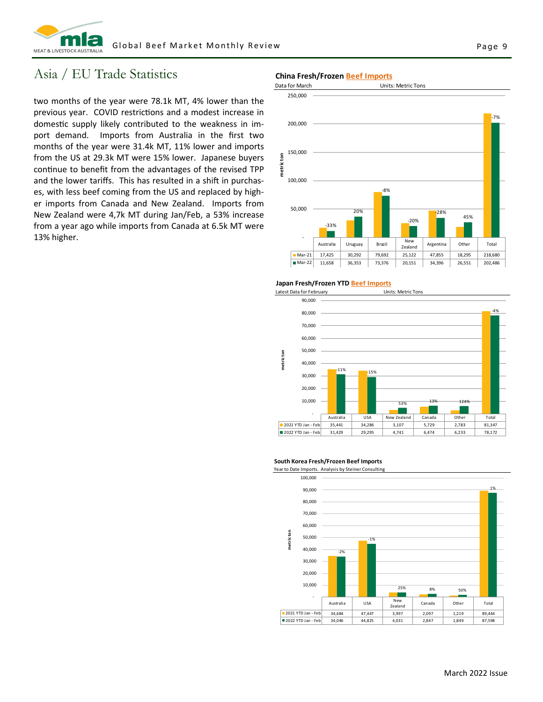

### Asia / EU Trade Statistics

two months of the year were 78.1k MT, 4% lower than the previous year. COVID restrictions and a modest increase in domestic supply likely contributed to the weakness in import demand. Imports from Australia in the first two months of the year were 31.4k MT, 11% lower and imports from the US at 29.3k MT were 15% lower. Japanese buyers continue to benefit from the advantages of the revised TPP and the lower tariffs. This has resulted in a shift in purchases, with less beef coming from the US and replaced by higher imports from Canada and New Zealand. Imports from New Zealand were 4,7k MT during Jan/Feb, a 53% increase from a year ago while imports from Canada at 6.5k MT were 13% higher.

#### **China Fresh/Frozen Beef Imports**



**Japan Fresh/Frozen YTD Beef Imports**



#### **South Korea Fresh/Frozen Beef Imports**

 100,000 1% 90,000 80,000 70,000 60,000 metricton **metric ton** 50,000 ‐1% 40,000 ‐2% 30,000 20,000 10,000 25% 8% 50% ‐ Australia USA Ne New Canada Other Total<br>
2997 2,097 1,219 89,444 2021 YTD Jan - Feb 34,684 47,447 3,997 2,097 1,219 ■ 2022 YTD Jan - Feb 34,046 44,825 4,031 2,847 4,849 87,598

Year to Date Imports. Analysis by Steiner Consulting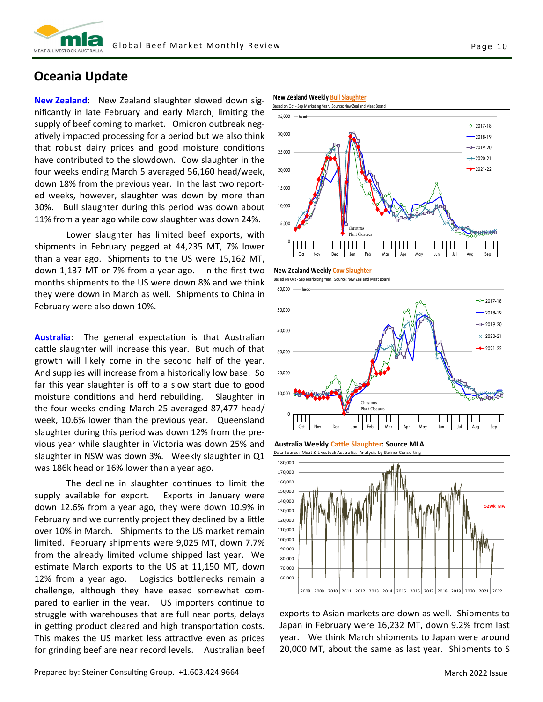

### **Oceania Update**

**New Zealand**: New Zealand slaughter slowed down sig‐ nificantly in late February and early March, limiting the supply of beef coming to market. Omicron outbreak negatively impacted processing for a period but we also think that robust dairy prices and good moisture conditions have contributed to the slowdown. Cow slaughter in the four weeks ending March 5 averaged 56,160 head/week, down 18% from the previous year. In the last two report‐ ed weeks, however, slaughter was down by more than 30%. Bull slaughter during this period was down about 11% from a year ago while cow slaughter was down 24%.

 Lower slaughter has limited beef exports, with shipments in February pegged at 44,235 MT, 7% lower than a year ago. Shipments to the US were 15,162 MT, down 1,137 MT or 7% from a year ago. In the first two months shipments to the US were down 8% and we think they were down in March as well. Shipments to China in February were also down 10%.

**Australia:** The general expectation is that Australian cattle slaughter will increase this year. But much of that growth will likely come in the second half of the year. And supplies will increase from a historically low base. So far this year slaughter is off to a slow start due to good moisture conditions and herd rebuilding. Slaughter in the four weeks ending March 25 averaged 87,477 head/ week, 10.6% lower than the previous year. Queensland slaughter during this period was down 12% from the pre‐ vious year while slaughter in Victoria was down 25% and slaughter in NSW was down 3%. Weekly slaughter in Q1 was 186k head or 16% lower than a year ago.

The decline in slaughter continues to limit the supply available for export. Exports in January were down 12.6% from a year ago, they were down 10.9% in February and we currently project they declined by a little over 10% in March. Shipments to the US market remain limited. February shipments were 9,025 MT, down 7.7% from the already limited volume shipped last year. We estimate March exports to the US at 11,150 MT, down 12% from a year ago. Logistics bottlenecks remain a challenge, although they have eased somewhat com‐ pared to earlier in the year. US importers continue to struggle with warehouses that are full near ports, delays in getting product cleared and high transportation costs. This makes the US market less attractive even as prices for grinding beef are near record levels. Australian beef

**New Zealand Weekly Bull Slaughter**



**New Zealand Weekly Cow Slaughter**





**Australia Weekly Cattle Slaughter: Source MLA**



exports to Asian markets are down as well. Shipments to Japan in February were 16,232 MT, down 9.2% from last year. We think March shipments to Japan were around 20,000 MT, about the same as last year. Shipments to S